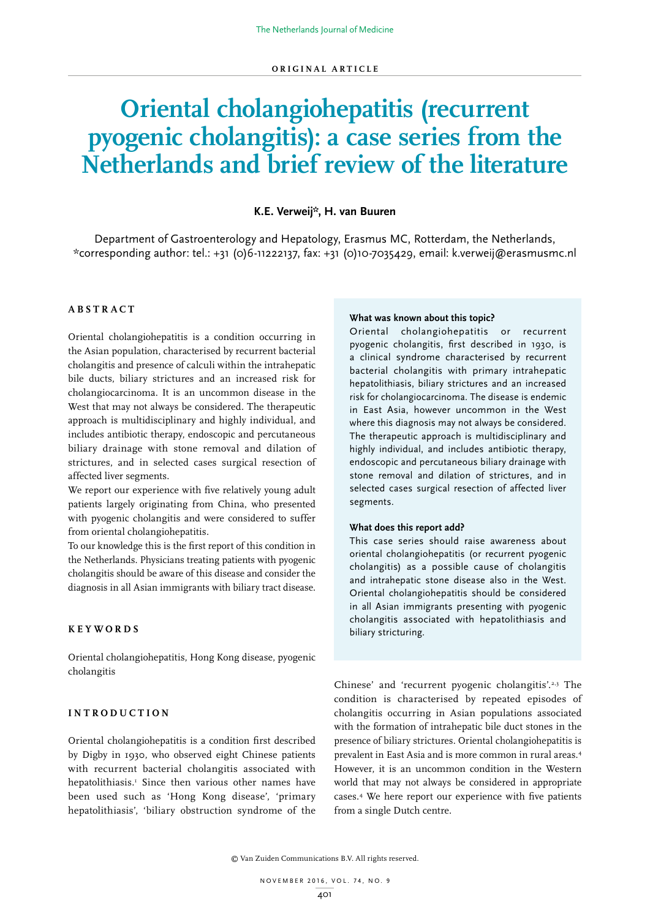# **Oriental cholangiohepatitis (recurrent pyogenic cholangitis): a case series from the Netherlands and brief review of the literature**

# **K.E. Verweij\*, H. van Buuren**

Department of Gastroenterology and Hepatology, Erasmus MC, Rotterdam, the Netherlands, \*corresponding author: tel.: +31 (0)6-11222137, fax: +31 (0)10-7035429, email: k.verweij@erasmusmc.nl

## **ABSTRACT**

Oriental cholangiohepatitis is a condition occurring in the Asian population, characterised by recurrent bacterial cholangitis and presence of calculi within the intrahepatic bile ducts, biliary strictures and an increased risk for cholangiocarcinoma. It is an uncommon disease in the West that may not always be considered. The therapeutic approach is multidisciplinary and highly individual, and includes antibiotic therapy, endoscopic and percutaneous biliary drainage with stone removal and dilation of strictures, and in selected cases surgical resection of affected liver segments.

We report our experience with five relatively young adult patients largely originating from China, who presented with pyogenic cholangitis and were considered to suffer from oriental cholangiohepatitis.

To our knowledge this is the first report of this condition in the Netherlands. Physicians treating patients with pyogenic cholangitis should be aware of this disease and consider the diagnosis in all Asian immigrants with biliary tract disease.

# **KEYWORDS**

Oriental cholangiohepatitis, Hong Kong disease, pyogenic cholangitis

# **INTRODUCTION**

Oriental cholangiohepatitis is a condition first described by Digby in 1930, who observed eight Chinese patients with recurrent bacterial cholangitis associated with hepatolithiasis.1 Since then various other names have been used such as 'Hong Kong disease', 'primary hepatolithiasis', 'biliary obstruction syndrome of the

#### **What was known about this topic?**

Oriental cholangiohepatitis or recurrent pyogenic cholangitis, first described in 1930, is a clinical syndrome characterised by recurrent bacterial cholangitis with primary intrahepatic hepatolithiasis, biliary strictures and an increased risk for cholangiocarcinoma. The disease is endemic in East Asia, however uncommon in the West where this diagnosis may not always be considered. The therapeutic approach is multidisciplinary and highly individual, and includes antibiotic therapy, endoscopic and percutaneous biliary drainage with stone removal and dilation of strictures, and in selected cases surgical resection of affected liver segments.

# **What does this report add?**

This case series should raise awareness about oriental cholangiohepatitis (or recurrent pyogenic cholangitis) as a possible cause of cholangitis and intrahepatic stone disease also in the West. Oriental cholangiohepatitis should be considered in all Asian immigrants presenting with pyogenic cholangitis associated with hepatolithiasis and biliary stricturing.

Chinese' and 'recurrent pyogenic cholangitis'.2,3 The condition is characterised by repeated episodes of cholangitis occurring in Asian populations associated with the formation of intrahepatic bile duct stones in the presence of biliary strictures. Oriental cholangiohepatitis is prevalent in East Asia and is more common in rural areas.4 However, it is an uncommon condition in the Western world that may not always be considered in appropriate cases.4 We here report our experience with five patients from a single Dutch centre.

© Van Zuiden Communications B.V. All rights reserved.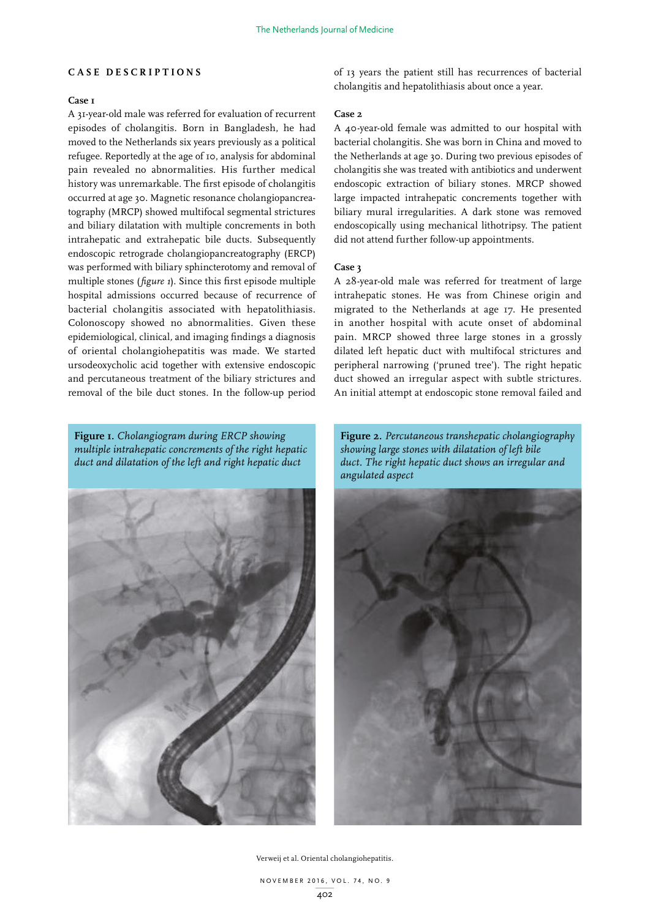## **CASE DESCRIPTIONS**

## **Case 1**

A 31-year-old male was referred for evaluation of recurrent episodes of cholangitis. Born in Bangladesh, he had moved to the Netherlands six years previously as a political refugee. Reportedly at the age of 10, analysis for abdominal pain revealed no abnormalities. His further medical history was unremarkable. The first episode of cholangitis occurred at age 30. Magnetic resonance cholangiopancreatography (MRCP) showed multifocal segmental strictures and biliary dilatation with multiple concrements in both intrahepatic and extrahepatic bile ducts. Subsequently endoscopic retrograde cholangiopancreatography (ERCP) was performed with biliary sphincterotomy and removal of multiple stones (*figure 1*). Since this first episode multiple hospital admissions occurred because of recurrence of bacterial cholangitis associated with hepatolithiasis. Colonoscopy showed no abnormalities. Given these epidemiological*,* clinical*,* and imaging findings a diagnosis of oriental cholangiohepatitis was made. We started ursodeoxycholic acid together with extensive endoscopic and percutaneous treatment of the biliary strictures and removal of the bile duct stones. In the follow-up period

**Figure 1.** *Cholangiogram during ERCP showing multiple intrahepatic concrements of the right hepatic duct and dilatation of the left and right hepatic duct*



of 13 years the patient still has recurrences of bacterial cholangitis and hepatolithiasis about once a year.

#### **Case 2**

A 40-year-old female was admitted to our hospital with bacterial cholangitis. She was born in China and moved to the Netherlands at age 30. During two previous episodes of cholangitis she was treated with antibiotics and underwent endoscopic extraction of biliary stones. MRCP showed large impacted intrahepatic concrements together with biliary mural irregularities. A dark stone was removed endoscopically using mechanical lithotripsy. The patient did not attend further follow-up appointments.

#### **Case 3**

A 28-year-old male was referred for treatment of large intrahepatic stones. He was from Chinese origin and migrated to the Netherlands at age 17. He presented in another hospital with acute onset of abdominal pain. MRCP showed three large stones in a grossly dilated left hepatic duct with multifocal strictures and peripheral narrowing ('pruned tree'). The right hepatic duct showed an irregular aspect with subtle strictures. An initial attempt at endoscopic stone removal failed and

**Figure 2.** *Percutaneous transhepatic cholangiography showing large stones with dilatation of left bile duct. The right hepatic duct shows an irregular and angulated aspect*

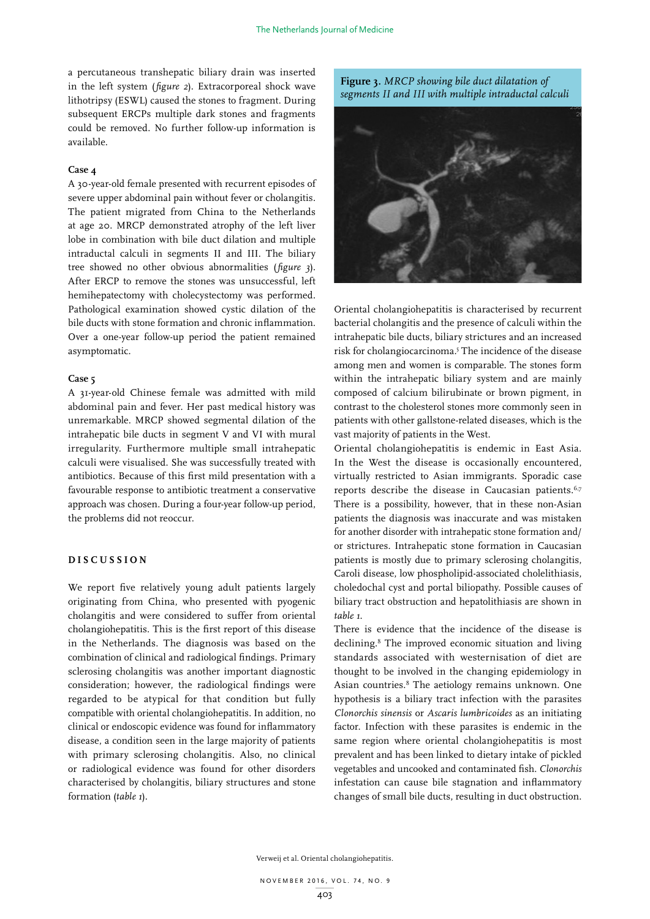a percutaneous transhepatic biliary drain was inserted in the left system (*figure 2*). Extracorporeal shock wave lithotripsy (ESWL) caused the stones to fragment. During subsequent ERCPs multiple dark stones and fragments could be removed. No further follow-up information is available.

#### **Case 4**

A 30-year-old female presented with recurrent episodes of severe upper abdominal pain without fever or cholangitis. The patient migrated from China to the Netherlands at age 20. MRCP demonstrated atrophy of the left liver lobe in combination with bile duct dilation and multiple intraductal calculi in segments II and III. The biliary tree showed no other obvious abnormalities (*figure 3*). After ERCP to remove the stones was unsuccessful, left hemihepatectomy with cholecystectomy was performed. Pathological examination showed cystic dilation of the bile ducts with stone formation and chronic inflammation. Over a one-year follow-up period the patient remained asymptomatic.

#### **Case 5**

A 31-year-old Chinese female was admitted with mild abdominal pain and fever. Her past medical history was unremarkable. MRCP showed segmental dilation of the intrahepatic bile ducts in segment V and VI with mural irregularity. Furthermore multiple small intrahepatic calculi were visualised. She was successfully treated with antibiotics. Because of this first mild presentation with a favourable response to antibiotic treatment a conservative approach was chosen. During a four-year follow-up period, the problems did not reoccur.

# **DISCUSSION**

We report five relatively young adult patients largely originating from China, who presented with pyogenic cholangitis and were considered to suffer from oriental cholangiohepatitis. This is the first report of this disease in the Netherlands. The diagnosis was based on the combination of clinical and radiological findings. Primary sclerosing cholangitis was another important diagnostic consideration; however, the radiological findings were regarded to be atypical for that condition but fully compatible with oriental cholangiohepatitis. In addition, no clinical or endoscopic evidence was found for inflammatory disease, a condition seen in the large majority of patients with primary sclerosing cholangitis. Also, no clinical or radiological evidence was found for other disorders characterised by cholangitis, biliary structures and stone formation (*table 1*).





Oriental cholangiohepatitis is characterised by recurrent bacterial cholangitis and the presence of calculi within the intrahepatic bile ducts, biliary strictures and an increased risk for cholangiocarcinoma.5 The incidence of the disease among men and women is comparable. The stones form within the intrahepatic biliary system and are mainly composed of calcium bilirubinate or brown pigment, in contrast to the cholesterol stones more commonly seen in patients with other gallstone-related diseases, which is the vast majority of patients in the West.

Oriental cholangiohepatitis is endemic in East Asia. In the West the disease is occasionally encountered, virtually restricted to Asian immigrants. Sporadic case reports describe the disease in Caucasian patients.<sup>6,7</sup> There is a possibility, however, that in these non-Asian patients the diagnosis was inaccurate and was mistaken for another disorder with intrahepatic stone formation and/ or strictures. Intrahepatic stone formation in Caucasian patients is mostly due to primary sclerosing cholangitis, Caroli disease, low phospholipid-associated cholelithiasis, choledochal cyst and portal biliopathy. Possible causes of biliary tract obstruction and hepatolithiasis are shown in *table 1*.

There is evidence that the incidence of the disease is declining.8 The improved economic situation and living standards associated with westernisation of diet are thought to be involved in the changing epidemiology in Asian countries.<sup>8</sup> The aetiology remains unknown. One hypothesis is a biliary tract infection with the parasites *Clonorchis sinensis* or *Ascaris lumbricoides* as an initiating factor. Infection with these parasites is endemic in the same region where oriental cholangiohepatitis is most prevalent and has been linked to dietary intake of pickled vegetables and uncooked and contaminated fish. *Clonorchis* infestation can cause bile stagnation and inflammatory changes of small bile ducts, resulting in duct obstruction.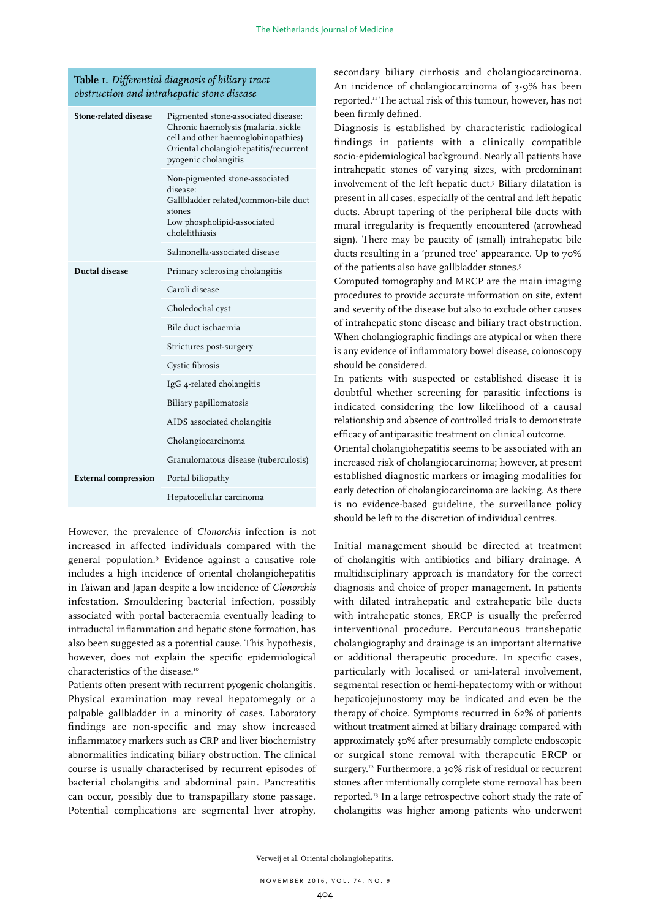# **Table 1.** *Differential diagnosis of biliary tract obstruction and intrahepatic stone disease*

| <b>Stone-related disease</b> | Pigmented stone-associated disease:<br>Chronic haemolysis (malaria, sickle<br>cell and other haemoglobinopathies)<br>Oriental cholangiohepatitis/recurrent<br>pyogenic cholangitis |
|------------------------------|------------------------------------------------------------------------------------------------------------------------------------------------------------------------------------|
|                              | Non-pigmented stone-associated<br>disease:<br>Gallbladder related/common-bile duct<br>stones<br>Low phospholipid-associated<br>cholelithiasis                                      |
|                              | Salmonella-associated disease                                                                                                                                                      |
| <b>Ductal disease</b>        | Primary sclerosing cholangitis                                                                                                                                                     |
|                              | Caroli disease                                                                                                                                                                     |
|                              | Choledochal cyst                                                                                                                                                                   |
|                              | Bile duct ischaemia                                                                                                                                                                |
|                              | Strictures post-surgery                                                                                                                                                            |
|                              | Cystic fibrosis                                                                                                                                                                    |
|                              | IgG 4-related cholangitis                                                                                                                                                          |
|                              | Biliary papillomatosis                                                                                                                                                             |
|                              | AIDS associated cholangitis                                                                                                                                                        |
|                              | Cholangiocarcinoma                                                                                                                                                                 |
|                              | Granulomatous disease (tuberculosis)                                                                                                                                               |
| <b>External compression</b>  | Portal biliopathy                                                                                                                                                                  |
|                              | Hepatocellular carcinoma                                                                                                                                                           |

However, the prevalence of *Clonorchis* infection is not increased in affected individuals compared with the general population.9 Evidence against a causative role includes a high incidence of oriental cholangiohepatitis in Taiwan and Japan despite a low incidence of *Clonorchis* infestation. Smouldering bacterial infection, possibly associated with portal bacteraemia eventually leading to intraductal inflammation and hepatic stone formation, has also been suggested as a potential cause. This hypothesis, however, does not explain the specific epidemiological characteristics of the disease.<sup>10</sup>

Patients often present with recurrent pyogenic cholangitis. Physical examination may reveal hepatomegaly or a palpable gallbladder in a minority of cases. Laboratory findings are non-specific and may show increased inflammatory markers such as CRP and liver biochemistry abnormalities indicating biliary obstruction. The clinical course is usually characterised by recurrent episodes of bacterial cholangitis and abdominal pain. Pancreatitis can occur, possibly due to transpapillary stone passage. Potential complications are segmental liver atrophy,

secondary biliary cirrhosis and cholangiocarcinoma. An incidence of cholangiocarcinoma of 3-9% has been reported.11 The actual risk of this tumour, however, has not been firmly defined.

Diagnosis is established by characteristic radiological findings in patients with a clinically compatible socio-epidemiological background. Nearly all patients have intrahepatic stones of varying sizes, with predominant involvement of the left hepatic duct.<sup>5</sup> Biliary dilatation is present in all cases, especially of the central and left hepatic ducts. Abrupt tapering of the peripheral bile ducts with mural irregularity is frequently encountered (arrowhead sign). There may be paucity of (small) intrahepatic bile ducts resulting in a 'pruned tree' appearance. Up to 70% of the patients also have gallbladder stones.<sup>5</sup>

Computed tomography and MRCP are the main imaging procedures to provide accurate information on site, extent and severity of the disease but also to exclude other causes of intrahepatic stone disease and biliary tract obstruction. When cholangiographic findings are atypical or when there is any evidence of inflammatory bowel disease, colonoscopy should be considered.

In patients with suspected or established disease it is doubtful whether screening for parasitic infections is indicated considering the low likelihood of a causal relationship and absence of controlled trials to demonstrate efficacy of antiparasitic treatment on clinical outcome.

Oriental cholangiohepatitis seems to be associated with an increased risk of cholangiocarcinoma; however, at present established diagnostic markers or imaging modalities for early detection of cholangiocarcinoma are lacking. As there is no evidence-based guideline, the surveillance policy should be left to the discretion of individual centres.

Initial management should be directed at treatment of cholangitis with antibiotics and biliary drainage. A multidisciplinary approach is mandatory for the correct diagnosis and choice of proper management. In patients with dilated intrahepatic and extrahepatic bile ducts with intrahepatic stones, ERCP is usually the preferred interventional procedure. Percutaneous transhepatic cholangiography and drainage is an important alternative or additional therapeutic procedure. In specific cases, particularly with localised or uni-lateral involvement, segmental resection or hemi-hepatectomy with or without hepaticojejunostomy may be indicated and even be the therapy of choice. Symptoms recurred in 62% of patients without treatment aimed at biliary drainage compared with approximately 30% after presumably complete endoscopic or surgical stone removal with therapeutic ERCP or surgery.12 Furthermore, a 30% risk of residual or recurrent stones after intentionally complete stone removal has been reported.13 In a large retrospective cohort study the rate of cholangitis was higher among patients who underwent